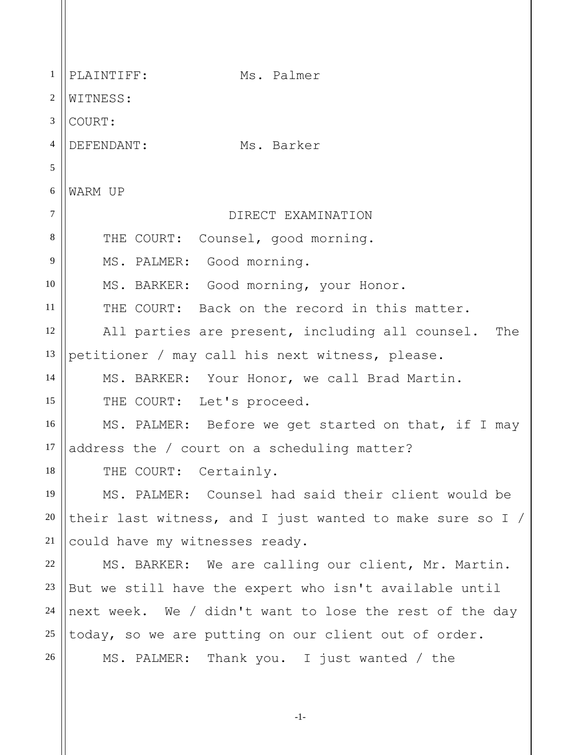1 2 3 4 5 6 7 8 9 10 11 12 13 14 15 16 17 18 19 20 21 22 23 24 25 26 PLAINTIFF: Ms. Palmer WITNESS: COURT: DEFENDANT: Ms. Barker WARM UP DIRECT EXAMINATION THE COURT: Counsel, good morning. MS. PALMER: Good morning. MS. BARKER: Good morning, your Honor. THE COURT: Back on the record in this matter. All parties are present, including all counsel. The petitioner / may call his next witness, please. MS. BARKER: Your Honor, we call Brad Martin. THE COURT: Let's proceed. MS. PALMER: Before we get started on that, if I may address the / court on a scheduling matter? THE COURT: Certainly. MS. PALMER: Counsel had said their client would be their last witness, and I just wanted to make sure so I / could have my witnesses ready. MS. BARKER: We are calling our client, Mr. Martin. But we still have the expert who isn't available until next week. We / didn't want to lose the rest of the day today, so we are putting on our client out of order. MS. PALMER: Thank you. I just wanted / the

-1-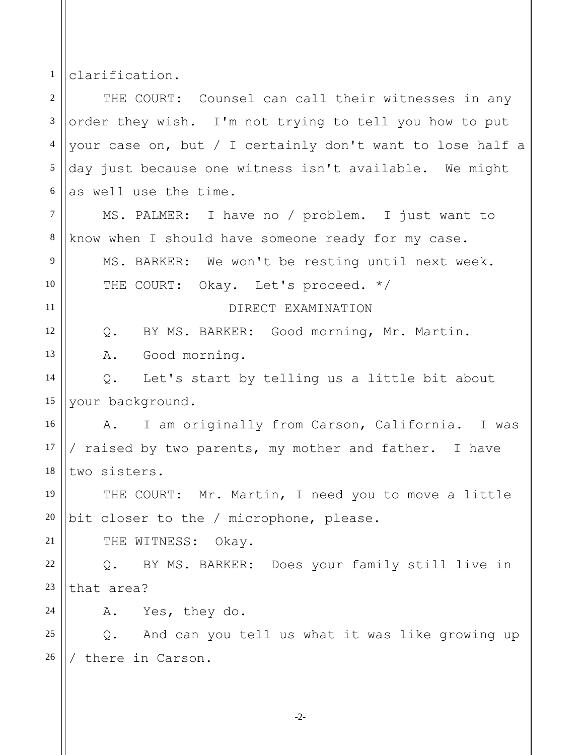1 clarification.

| $\overline{2}$ | THE COURT: Counsel can call their witnesses in any        |
|----------------|-----------------------------------------------------------|
| $\mathfrak{Z}$ | order they wish. I'm not trying to tell you how to put    |
| $\overline{4}$ | your case on, but / I certainly don't want to lose half a |
| 5              | day just because one witness isn't available. We might    |
| 6              | as well use the time.                                     |
| $\tau$         | MS. PALMER: I have no / problem. I just want to           |
| $\,8\,$        | know when I should have someone ready for my case.        |
| 9              | MS. BARKER: We won't be resting until next week.          |
| 10             | THE COURT: Okay. Let's proceed. */                        |
| 11             | DIRECT EXAMINATION                                        |
| 12             | BY MS. BARKER: Good morning, Mr. Martin.<br>Q.            |
| 13             | Good morning.<br>Α.                                       |
| 14             | Let's start by telling us a little bit about<br>Q.        |
| 15             | your background.                                          |
| 16             | I am originally from Carson, California. I was<br>A.      |
| 17             | / raised by two parents, my mother and father. I have     |
| 18             | two sisters.                                              |
| 19             | THE COURT: Mr. Martin, I need you to move a little        |
|                | 20    bit closer to the / microphone, please.             |
| 21             | THE WITNESS: Okay.                                        |
| 22             | BY MS. BARKER: Does your family still live in<br>$Q$ .    |
| 23             | that area?                                                |
| 24             | Yes, they do.<br>Α.                                       |
| 25             | $Q$ .<br>And can you tell us what it was like growing up  |
| 26             | there in Carson.                                          |
|                |                                                           |

-2-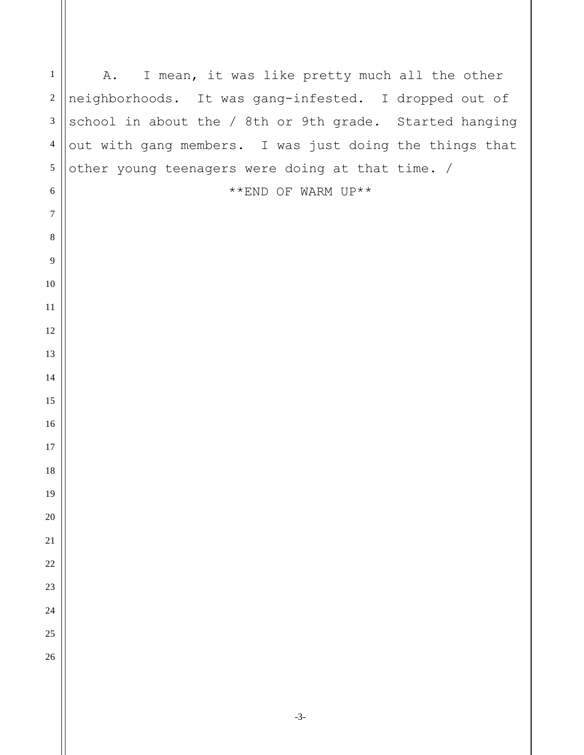| $\mathbf{1}$     | I mean, it was like pretty much all the other<br>A.     |
|------------------|---------------------------------------------------------|
| $\sqrt{2}$       | neighborhoods. It was gang-infested. I dropped out of   |
| $\sqrt{3}$       | school in about the / 8th or 9th grade. Started hanging |
| $\overline{4}$   | out with gang members. I was just doing the things that |
| $\sqrt{5}$       | other young teenagers were doing at that time. /        |
| $\sqrt{6}$       | **END OF WARM UP**                                      |
| $\boldsymbol{7}$ |                                                         |
| $\,8\,$          |                                                         |
| $\overline{9}$   |                                                         |
| $10\,$           |                                                         |
| 11               |                                                         |
| 12               |                                                         |
| 13               |                                                         |
| 14               |                                                         |
| 15               |                                                         |
| 16               |                                                         |
| 17               |                                                         |
| 18               |                                                         |
| 19               |                                                         |
| 20               |                                                         |
| $21\,$           |                                                         |
| 22               |                                                         |
| 23               |                                                         |
| 24               |                                                         |
| 25               |                                                         |
| 26               |                                                         |
|                  |                                                         |
|                  | $-3-$                                                   |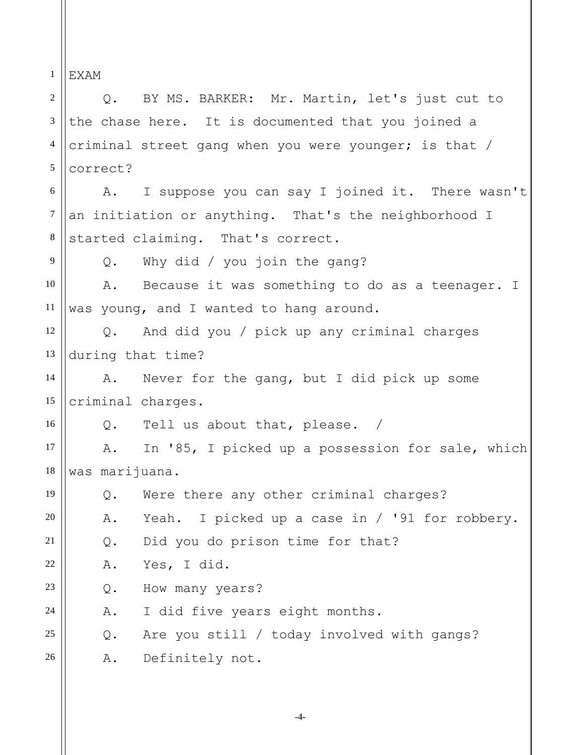1 EXAM

2 3 4 5 6 7 8 9 10 11 12 13 14 15 16 17 18 19 20 21 22 23 24 25 26 Q. BY MS. BARKER: Mr. Martin, let's just cut to the chase here. It is documented that you joined a criminal street gang when you were younger; is that / correct? A. I suppose you can say I joined it. There wasn't an initiation or anything. That's the neighborhood I started claiming. That's correct. Q. Why did / you join the gang? A. Because it was something to do as a teenager. I was young, and I wanted to hang around. Q. And did you / pick up any criminal charges during that time? A. Never for the gang, but I did pick up some criminal charges. Q. Tell us about that, please. / A. In '85, I picked up a possession for sale, which was marijuana. Q. Were there any other criminal charges? A. Yeah. I picked up a case in / '91 for robbery. Q. Did you do prison time for that? A. Yes, I did. Q. How many years? A. I did five years eight months. Q. Are you still / today involved with gangs? A. Definitely not.

-4-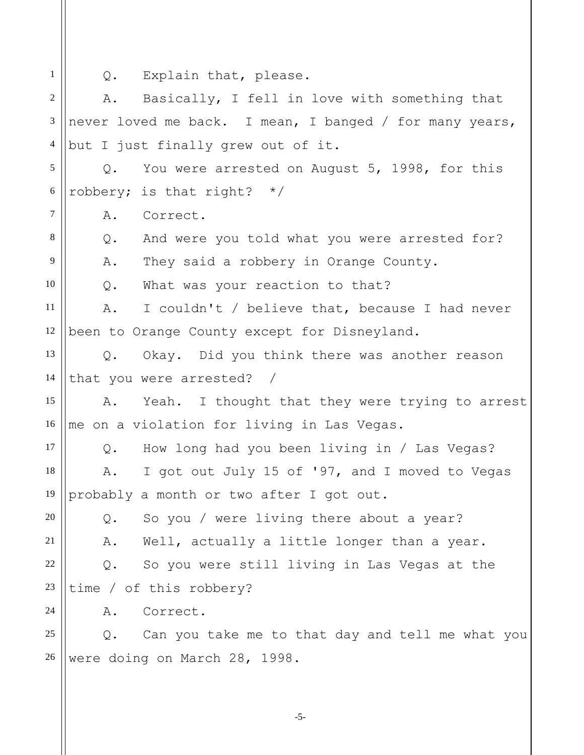1

Q. Explain that, please.

2 3 4 5 6 7 8 9 10 11 12 13 14 15 16 17 18 19 20 21 22 23 24 25 26 A. Basically, I fell in love with something that never loved me back. I mean, I banged / for many years, but I just finally grew out of it. Q. You were arrested on August 5, 1998, for this robbery; is that right? \*/ A. Correct. Q. And were you told what you were arrested for? A. They said a robbery in Orange County. Q. What was your reaction to that? A. I couldn't / believe that, because I had never been to Orange County except for Disneyland. Q. Okay. Did you think there was another reason that you were arrested? / A. Yeah. I thought that they were trying to arrest me on a violation for living in Las Vegas. Q. How long had you been living in / Las Vegas? A. I got out July 15 of '97, and I moved to Vegas probably a month or two after I got out. Q. So you / were living there about a year? A. Well, actually a little longer than a year. Q. So you were still living in Las Vegas at the time / of this robbery? A. Correct. Q. Can you take me to that day and tell me what you were doing on March 28, 1998.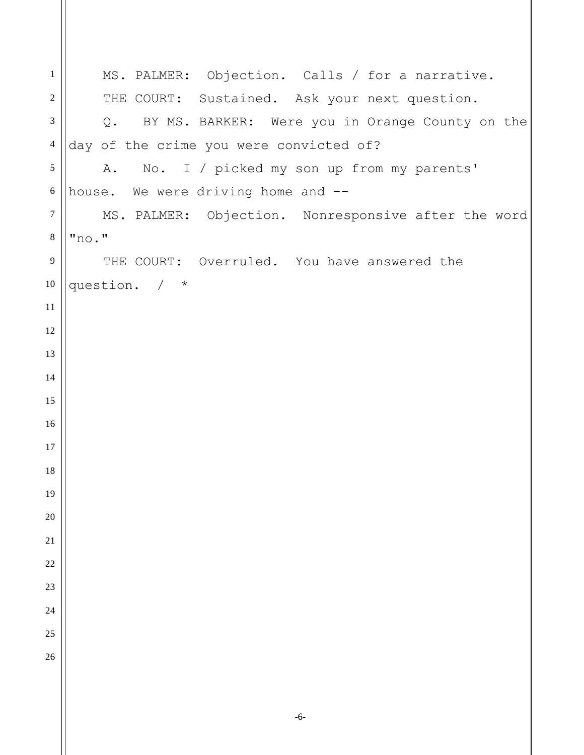| $\mathbf{1}$   | MS. PALMER: Objection. Calls / for a narrative.     |
|----------------|-----------------------------------------------------|
| $\overline{2}$ | THE COURT: Sustained. Ask your next question.       |
| 3              | Q. BY MS. BARKER: Were you in Orange County on the  |
| $\overline{4}$ | day of the crime you were convicted of?             |
| 5              | A. No. I / picked my son up from my parents'        |
| $\sqrt{6}$     | house. We were driving home and --                  |
| $\overline{7}$ | MS. PALMER: Objection. Nonresponsive after the word |
| $\,8\,$        | "no."                                               |
| 9              | THE COURT: Overruled. You have answered the         |
| 10             | question. / *                                       |
| 11             |                                                     |
| 12             |                                                     |
| 13             |                                                     |
| 14             |                                                     |
| 15             |                                                     |
| 16             |                                                     |
| 17             |                                                     |
| 18             |                                                     |
| 19             |                                                     |
| 20             |                                                     |
| 21             |                                                     |
| 22             |                                                     |
| 23             |                                                     |
| 24             |                                                     |
| 25             |                                                     |
| 26             |                                                     |
|                |                                                     |
|                |                                                     |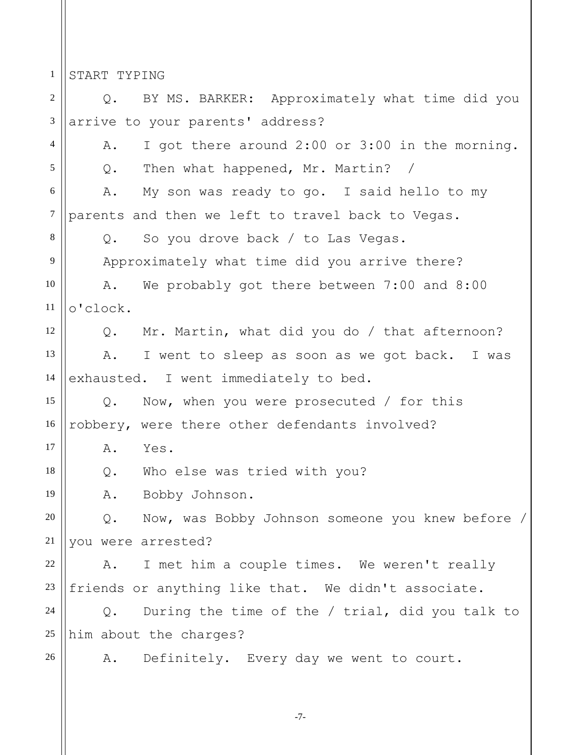1 START TYPING

2 3 4 5 6 7 8 9 10 11 12 13 14 15 16 17 18 19 20 21 22 23 24 25 26 Q. BY MS. BARKER: Approximately what time did you arrive to your parents' address? A. I got there around 2:00 or 3:00 in the morning. Q. Then what happened, Mr. Martin? / A. My son was ready to go. I said hello to my parents and then we left to travel back to Vegas. Q. So you drove back / to Las Vegas. Approximately what time did you arrive there? A. We probably got there between 7:00 and 8:00 o'clock. Q. Mr. Martin, what did you do / that afternoon? A. I went to sleep as soon as we got back. I was exhausted. I went immediately to bed. Q. Now, when you were prosecuted / for this robbery, were there other defendants involved? A. Yes. Q. Who else was tried with you? A. Bobby Johnson. Q. Now, was Bobby Johnson someone you knew before / you were arrested? A. I met him a couple times. We weren't really friends or anything like that. We didn't associate. Q. During the time of the / trial, did you talk to him about the charges? A. Definitely. Every day we went to court.

-7-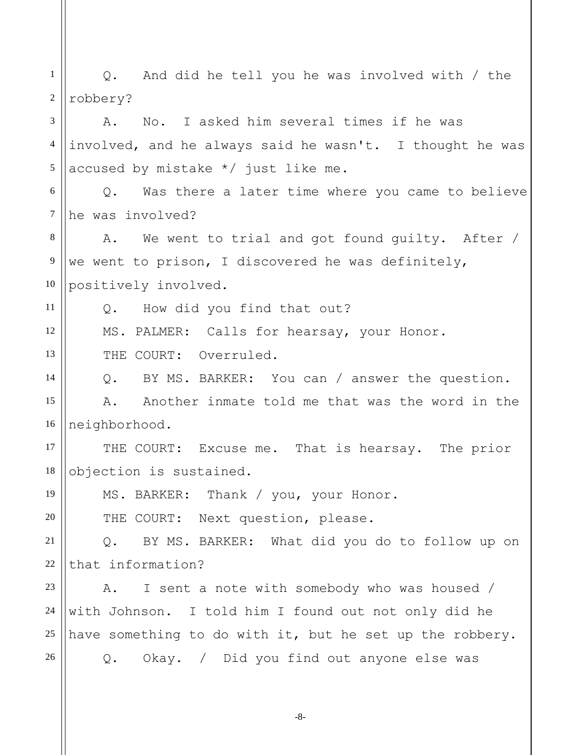| $\mathbf{1}$   | And did he tell you he was involved with / the<br>Q.     |
|----------------|----------------------------------------------------------|
| $\overline{2}$ | robbery?                                                 |
| 3              | No. I asked him several times if he was<br>Α.            |
| 4              | involved, and he always said he wasn't. I thought he was |
| 5              | accused by mistake $*/$ just like me.                    |
| 6              | Was there a later time where you came to believe<br>Q.   |
| $\tau$         | he was involved?                                         |
| 8              | A. We went to trial and got found quilty. After /        |
| 9              | we went to prison, I discovered he was definitely,       |
| 10             | positively involved.                                     |
| 11             | Q. How did you find that out?                            |
| 12             | MS. PALMER: Calls for hearsay, your Honor.               |
| 13             | THE COURT: Overruled.                                    |
| 14             | Q. BY MS. BARKER: You can / answer the question.         |
| 15             | A. Another inmate told me that was the word in the       |
| 16             | neighborhood.                                            |
| 17             | THE COURT: Excuse me. That is hearsay. The prior         |
| 18             | objection is sustained.                                  |
| 19             | MS. BARKER: Thank / you, your Honor.                     |
| 20             | THE COURT: Next question, please.                        |
| 21             | BY MS. BARKER: What did you do to follow up on<br>Q.     |
| 22             | that information?                                        |
| 23             | I sent a note with somebody who was housed /<br>Α.       |
| 24             | with Johnson. I told him I found out not only did he     |
| $25\,$         | have something to do with it, but he set up the robbery. |
| 26             | Okay. / Did you find out anyone else was<br>Q.           |
|                |                                                          |

-8-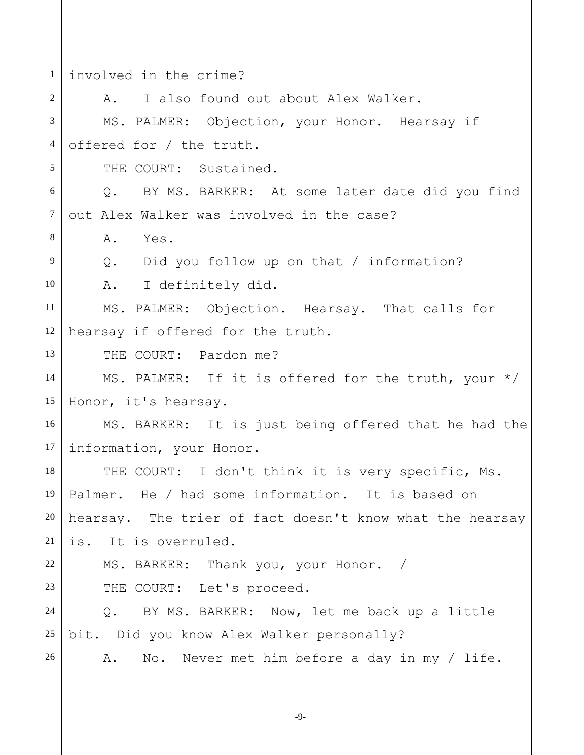1 2 3 4 5 6 7 8 9 10 11 12 13 14 15 16 17 18 19 20 21 22 23 24 25 26 involved in the crime? A. I also found out about Alex Walker. MS. PALMER: Objection, your Honor. Hearsay if offered for / the truth. THE COURT: Sustained. Q. BY MS. BARKER: At some later date did you find out Alex Walker was involved in the case? A. Yes. Q. Did you follow up on that / information? A. I definitely did. MS. PALMER: Objection. Hearsay. That calls for hearsay if offered for the truth. THE COURT: Pardon me? MS. PALMER: If it is offered for the truth, your \*/ Honor, it's hearsay. MS. BARKER: It is just being offered that he had the information, your Honor. THE COURT: I don't think it is very specific, Ms. Palmer. He / had some information. It is based on hearsay. The trier of fact doesn't know what the hearsay is. It is overruled. MS. BARKER: Thank you, your Honor. / THE COURT: Let's proceed. Q. BY MS. BARKER: Now, let me back up a little bit. Did you know Alex Walker personally? A. No. Never met him before a day in my / life.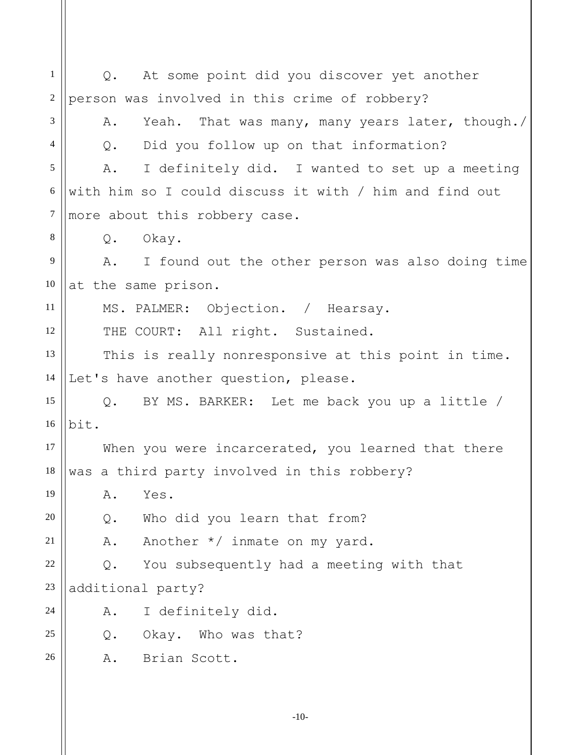1 2 3 4 5 6 7 8 9 10 11 12 13 14 15 16 17 18 19 20 21 22 23 24 25 26 Q. At some point did you discover yet another person was involved in this crime of robbery? A. Yeah. That was many, many years later, though./ Q. Did you follow up on that information? A. I definitely did. I wanted to set up a meeting with him so I could discuss it with / him and find out more about this robbery case. Q. Okay. A. I found out the other person was also doing time at the same prison. MS. PALMER: Objection. / Hearsay. THE COURT: All right. Sustained. This is really nonresponsive at this point in time. Let's have another question, please. Q. BY MS. BARKER: Let me back you up a little / bit. When you were incarcerated, you learned that there was a third party involved in this robbery? A. Yes. Q. Who did you learn that from? A. Another \*/ inmate on my yard. Q. You subsequently had a meeting with that additional party? A. I definitely did. Q. Okay. Who was that? A. Brian Scott.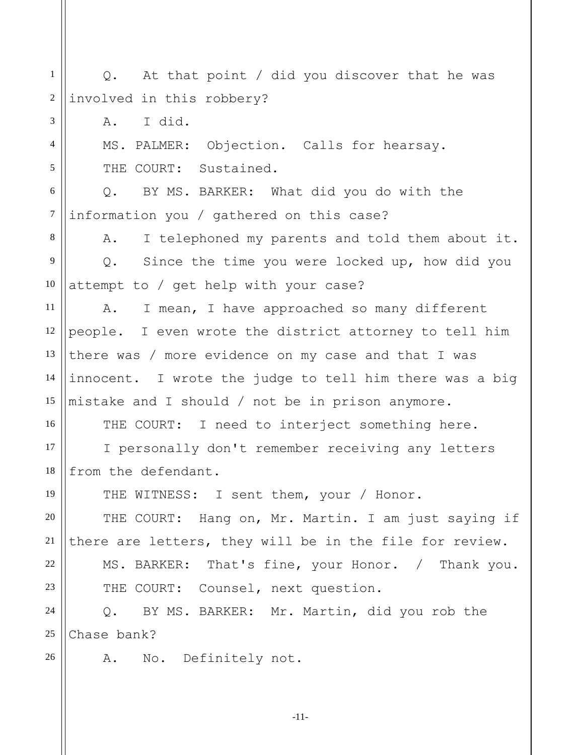1 2 3 4 5 6 7 8 9 10 11 12 13 14 15 16 17 18 19 20 21 22 23 24 25 26 Q. At that point / did you discover that he was involved in this robbery? A. I did. MS. PALMER: Objection. Calls for hearsay. THE COURT: Sustained. Q. BY MS. BARKER: What did you do with the information you / gathered on this case? A. I telephoned my parents and told them about it. Q. Since the time you were locked up, how did you attempt to / get help with your case? A. I mean, I have approached so many different people. I even wrote the district attorney to tell him there was / more evidence on my case and that I was innocent. I wrote the judge to tell him there was a big mistake and I should / not be in prison anymore. THE COURT: I need to interject something here. I personally don't remember receiving any letters from the defendant. THE WITNESS: I sent them, your / Honor. THE COURT: Hang on, Mr. Martin. I am just saying if there are letters, they will be in the file for review. MS. BARKER: That's fine, your Honor. / Thank you. THE COURT: Counsel, next question. Q. BY MS. BARKER: Mr. Martin, did you rob the Chase bank? A. No. Definitely not.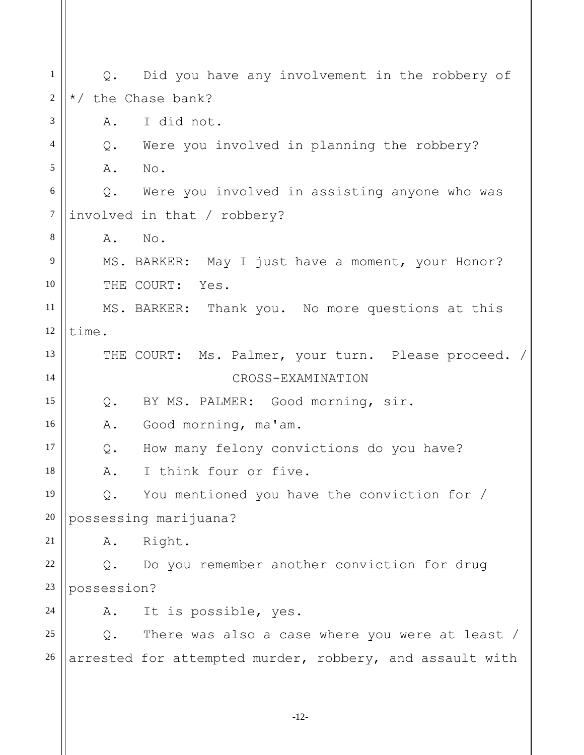1 2 3 4 5 6 7 8 9 10 11 12 13 14 15 16 17 18 19 20 21 22 23 24 25 26 Q. Did you have any involvement in the robbery of \*/ the Chase bank? A. I did not. Q. Were you involved in planning the robbery? A. No. Q. Were you involved in assisting anyone who was involved in that / robbery? A. No. MS. BARKER: May I just have a moment, your Honor? THE COURT: Yes. MS. BARKER: Thank you. No more questions at this time. THE COURT: Ms. Palmer, your turn. Please proceed. / CROSS-EXAMINATION Q. BY MS. PALMER: Good morning, sir. A. Good morning, ma'am. Q. How many felony convictions do you have? A. I think four or five. Q. You mentioned you have the conviction for / possessing marijuana? A. Right. Q. Do you remember another conviction for drug possession? A. It is possible, yes. Q. There was also a case where you were at least / arrested for attempted murder, robbery, and assault with

-12-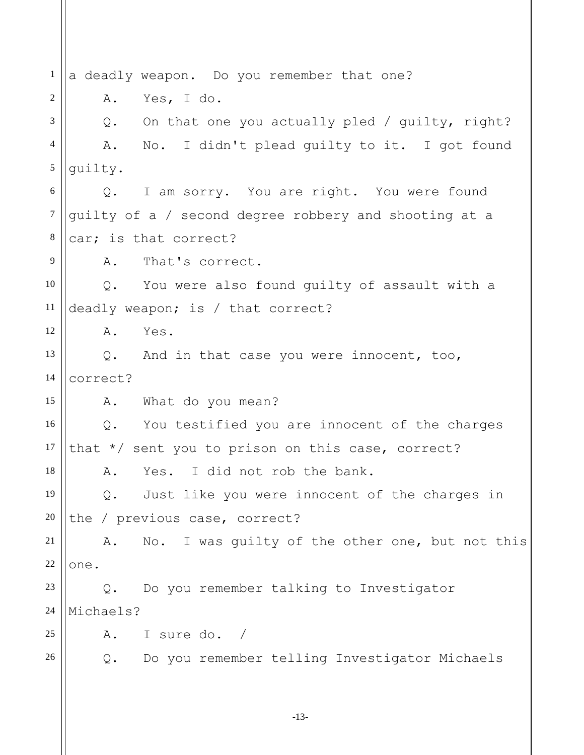1 2 3 4 5 6 7 8 9 10 11 12 13 14 15 16 17 18 19 20 21 22 23 24 25 26 a deadly weapon. Do you remember that one? A. Yes, I do. Q. On that one you actually pled / guilty, right? A. No. I didn't plead guilty to it. I got found guilty. Q. I am sorry. You are right. You were found guilty of a / second degree robbery and shooting at a car; is that correct? A. That's correct. Q. You were also found guilty of assault with a deadly weapon; is / that correct? A. Yes. Q. And in that case you were innocent, too, correct? A. What do you mean? Q. You testified you are innocent of the charges that \*/ sent you to prison on this case, correct? A. Yes. I did not rob the bank. Q. Just like you were innocent of the charges in the / previous case, correct? A. No. I was guilty of the other one, but not this one. Q. Do you remember talking to Investigator Michaels? A. I sure do. / Q. Do you remember telling Investigator Michaels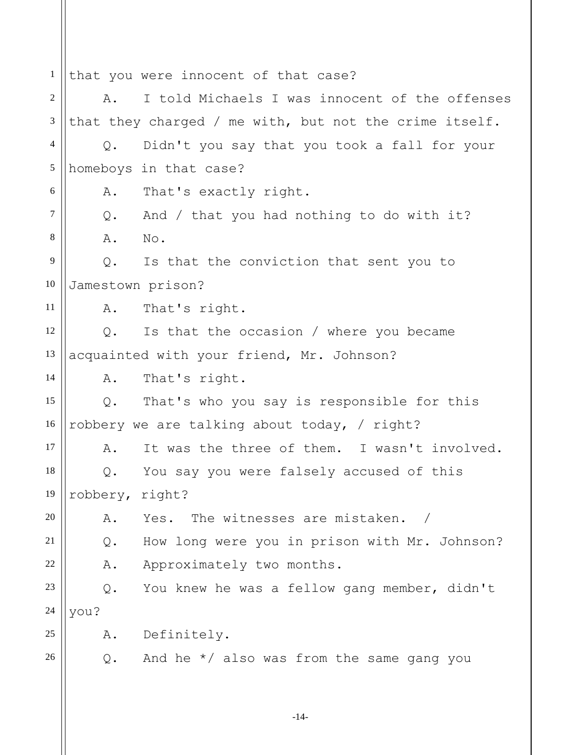1 2 3 4 5 6 7 8 9 10 11 12 13 14 15 16 17 18 19 20 21 22 23 24 25 26 that you were innocent of that case? A. I told Michaels I was innocent of the offenses that they charged / me with, but not the crime itself. Q. Didn't you say that you took a fall for your homeboys in that case? A. That's exactly right. Q. And / that you had nothing to do with it? A. No. Q. Is that the conviction that sent you to Jamestown prison? A. That's right. Q. Is that the occasion / where you became acquainted with your friend, Mr. Johnson? A. That's right. Q. That's who you say is responsible for this robbery we are talking about today, / right? A. It was the three of them. I wasn't involved. Q. You say you were falsely accused of this robbery, right? A. Yes. The witnesses are mistaken. / Q. How long were you in prison with Mr. Johnson? A. Approximately two months. Q. You knew he was a fellow gang member, didn't you? A. Definitely. Q. And he \*/ also was from the same gang you

-14-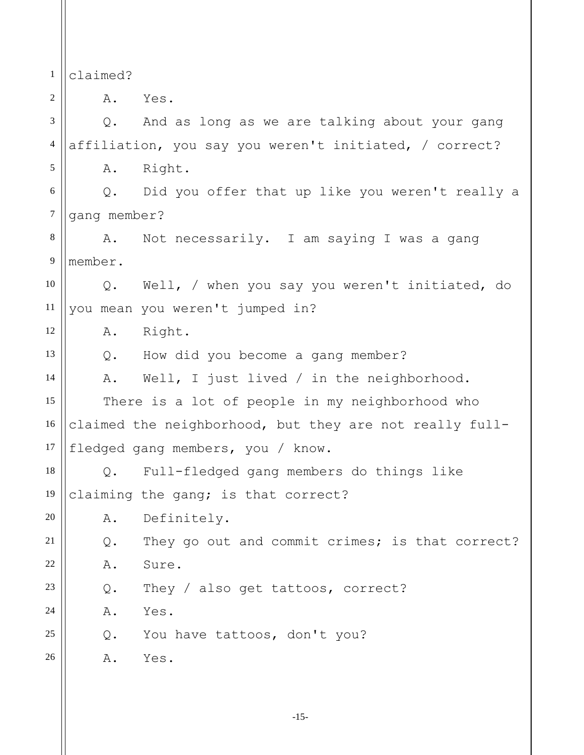1 2 3 4 5 6 7 8 9 10 11 12 13 14 15 16 17 18 19 20 21 22 23 24 25 26 claimed? A. Yes. Q. And as long as we are talking about your gang affiliation, you say you weren't initiated, / correct? A. Right. Q. Did you offer that up like you weren't really a gang member? A. Not necessarily. I am saying I was a gang member. Q. Well, / when you say you weren't initiated, do you mean you weren't jumped in? A. Right. Q. How did you become a gang member? A. Well, I just lived / in the neighborhood. There is a lot of people in my neighborhood who claimed the neighborhood, but they are not really fullfledged gang members, you / know. Q. Full-fledged gang members do things like claiming the gang; is that correct? A. Definitely. Q. They go out and commit crimes; is that correct? A. Sure. Q. They / also get tattoos, correct? A. Yes. Q. You have tattoos, don't you? A. Yes.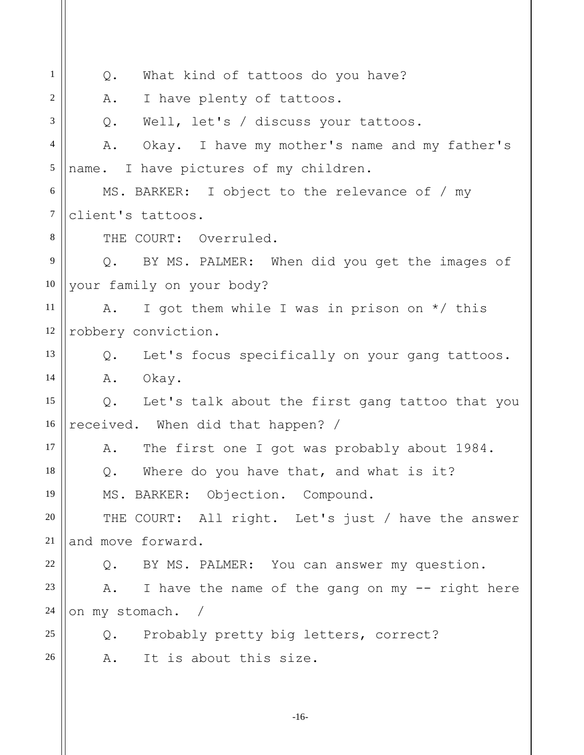| 1                | What kind of tattoos do you have?<br>Q.                 |
|------------------|---------------------------------------------------------|
| 2                | I have plenty of tattoos.<br>Α.                         |
| 3                | Well, let's / discuss your tattoos.<br>Q.               |
| $\overline{4}$   | Okay. I have my mother's name and my father's<br>Α.     |
| 5                | name. I have pictures of my children.                   |
| 6                | MS. BARKER: I object to the relevance of / my           |
| $\boldsymbol{7}$ | client's tattoos.                                       |
| 8                | THE COURT: Overruled.                                   |
| 9                | BY MS. PALMER: When did you get the images of<br>Q.     |
| 10               | your family on your body?                               |
| 11               | I got them while I was in prison on $*/$ this<br>A.     |
| 12               | robbery conviction.                                     |
| 13               | Let's focus specifically on your gang tattoos.<br>$Q$ . |
| 14               | Okay.<br>Α.                                             |
| 15               | Q. Let's talk about the first gang tattoo that you      |
| 16               | received. When did that happen? /                       |
| 17               | The first one I got was probably about 1984.<br>Α.      |
| 18               | Where do you have that, and what is it?<br>Q.           |
| 19               | MS. BARKER: Objection. Compound.                        |
| $20\,$           | THE COURT: All right. Let's just / have the answer      |
| 21               | and move forward.                                       |
| $22\,$           | Q. BY MS. PALMER: You can answer my question.           |
| 23               | I have the name of the gang on my -- right here<br>A.   |
| 24               | on my stomach. /                                        |
| 25               | Q. Probably pretty big letters, correct?                |
| 26               | It is about this size.<br>A.                            |
|                  |                                                         |

-16-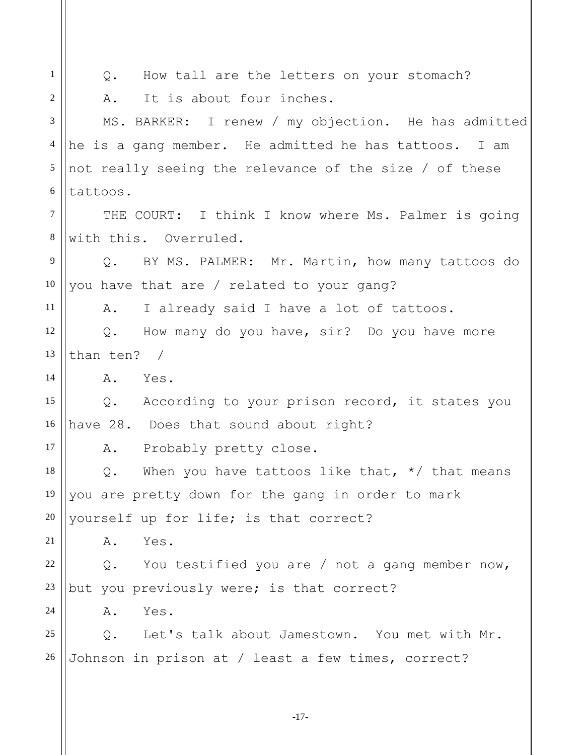1 2 3 4 5 6 7 8 9 10 11 12 13 14 15 16 17 18 19 20 21 22 23 24 25 26 Q. How tall are the letters on your stomach? A. It is about four inches. MS. BARKER: I renew / my objection. He has admitted he is a gang member. He admitted he has tattoos. I am not really seeing the relevance of the size / of these tattoos. THE COURT: I think I know where Ms. Palmer is going with this. Overruled. Q. BY MS. PALMER: Mr. Martin, how many tattoos do you have that are / related to your gang? A. I already said I have a lot of tattoos. Q. How many do you have, sir? Do you have more than ten? / A. Yes. Q. According to your prison record, it states you have 28. Does that sound about right? A. Probably pretty close. Q. When you have tattoos like that,  $*/$  that means you are pretty down for the gang in order to mark yourself up for life; is that correct? A. Yes. Q. You testified you are / not a gang member now, but you previously were; is that correct? A. Yes. Q. Let's talk about Jamestown. You met with Mr. Johnson in prison at / least a few times, correct?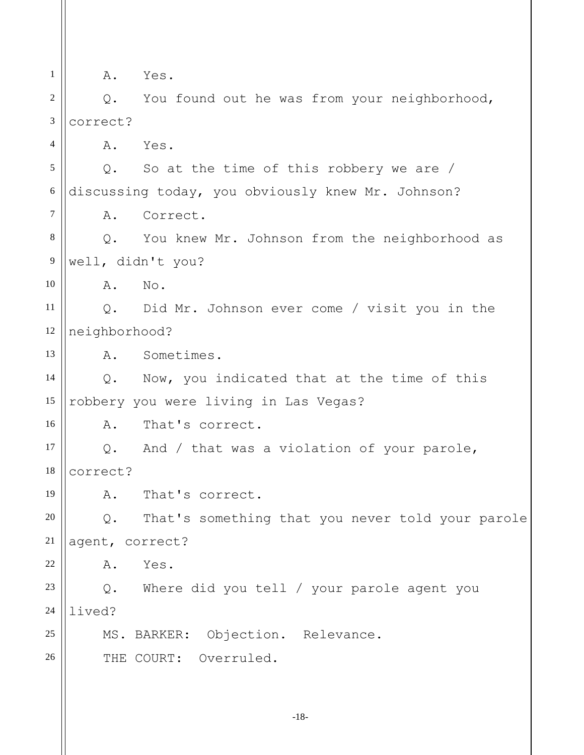1 2 3 4 5 6 7 8 9 10 11 12 13 14 15 16 17 18 19 20 21 22 23 24 25 26 A. Yes. Q. You found out he was from your neighborhood, correct? A. Yes. Q. So at the time of this robbery we are / discussing today, you obviously knew Mr. Johnson? A. Correct. Q. You knew Mr. Johnson from the neighborhood as well, didn't you? A. No. Q. Did Mr. Johnson ever come / visit you in the neighborhood? A. Sometimes. Q. Now, you indicated that at the time of this robbery you were living in Las Vegas? A. That's correct. Q. And / that was a violation of your parole, correct? A. That's correct. Q. That's something that you never told your parole agent, correct? A. Yes. Q. Where did you tell / your parole agent you lived? MS. BARKER: Objection. Relevance. THE COURT: Overruled.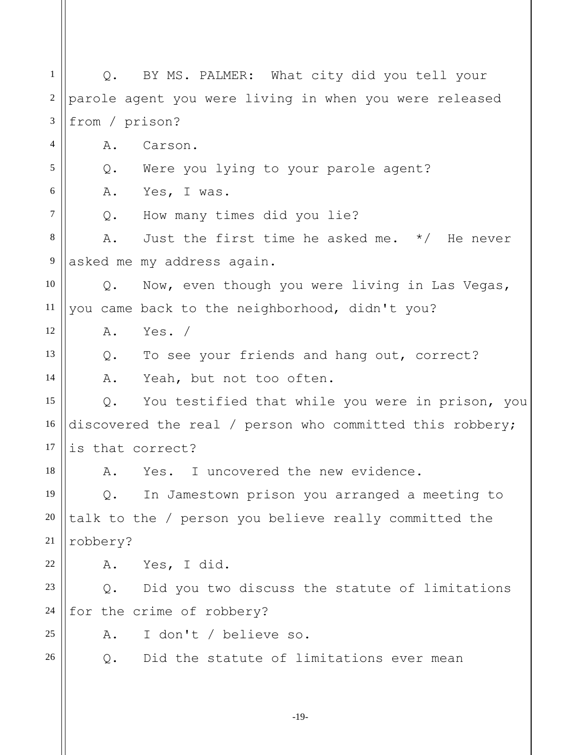1 2 3 4 5 6 7 8 9 10 11 12 13 14 15 16 17 18 19 20 21 22 23 24 25 26 Q. BY MS. PALMER: What city did you tell your parole agent you were living in when you were released from / prison? A. Carson. Q. Were you lying to your parole agent? A. Yes, I was. Q. How many times did you lie? A. Just the first time he asked me. \*/ He never asked me my address again. Q. Now, even though you were living in Las Vegas, you came back to the neighborhood, didn't you? A. Yes. / Q. To see your friends and hang out, correct? A. Yeah, but not too often. Q. You testified that while you were in prison, you discovered the real / person who committed this robbery; is that correct? A. Yes. I uncovered the new evidence. Q. In Jamestown prison you arranged a meeting to talk to the / person you believe really committed the robbery? A. Yes, I did. Q. Did you two discuss the statute of limitations for the crime of robbery? A. I don't / believe so. Q. Did the statute of limitations ever mean

-19-